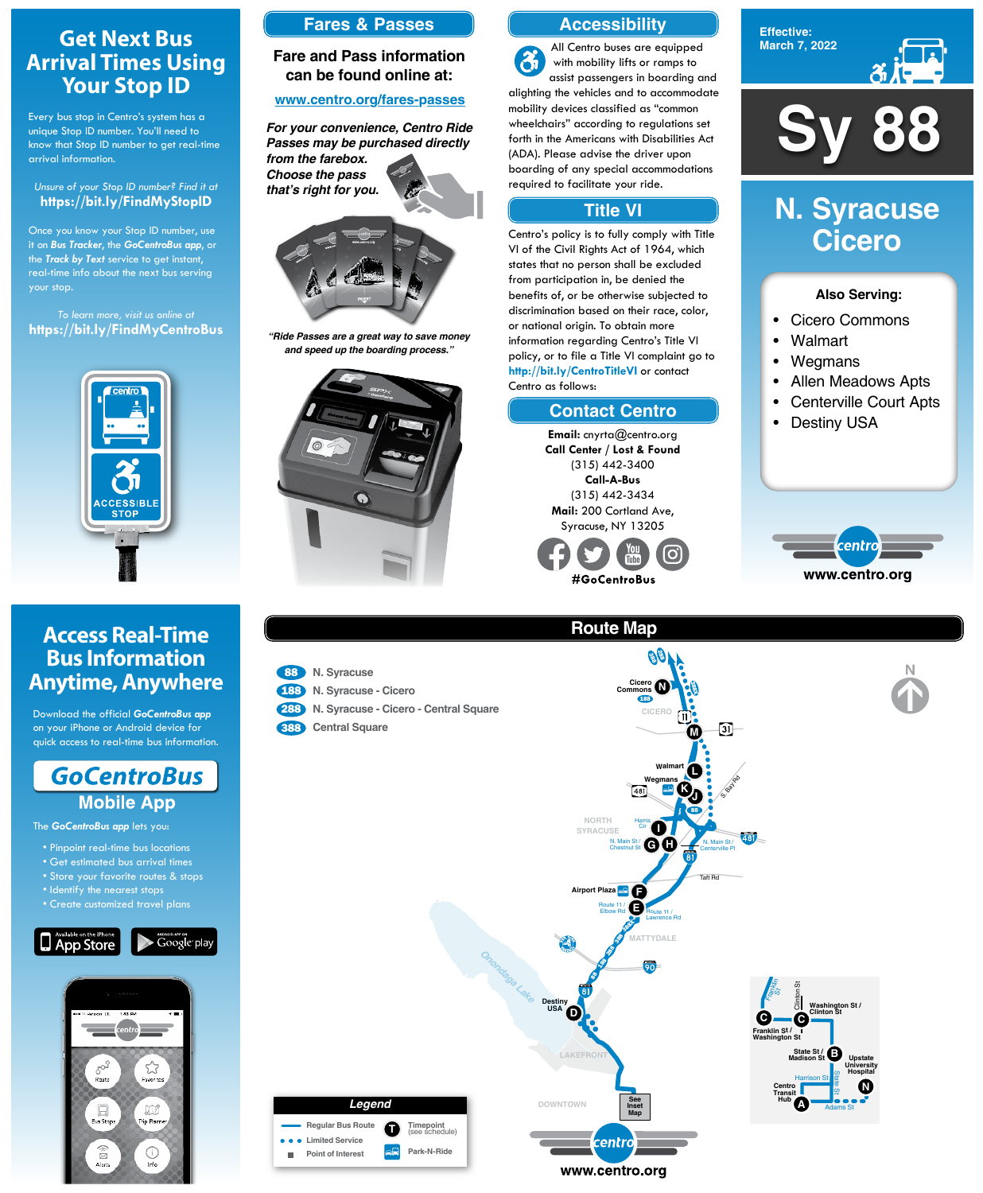**Sy 88**

**Effective: March 7, 2022**



- Cicero Commons
- Walmart
- Wegmans
- Allen Meadows Apts
- Centerville Court Apts
- **Destiny USA**



#### **Also Serving:**

# **N. Syracuse Cicero**

# **Get Next Bus Arrival Times Using Your Stop ID**

Every bus stop in Centro's system has a unique Stop ID number. You'll need to know that Stop ID number to get real-time arrival information.

#### *Unsure of your Stop ID number? Find it at* **https://bit.ly/FindMyStopID**

- Pinpoint real-time bus locations
- Get estimated bus arrival times
- Store your favorite routes & sto

Once you know your Stop ID number, use it on *Bus Tracker*, the *GoCentroBus app*, or the *Track by Text* service to get instant, real-time info about the next bus serving your stop.

- 188 **N. Syracuse Cicero**
- 288 **N. Syracuse Cicero Central Square**
- **Central Square**

**e e** Limited Service **Point of Interest**

*To learn more, visit us online at* **https://bit.ly/FindMyCentroBus**



# **Access Real-Time Bus Information Anytime, Anywhere**

Download the official *GoCentroBus app* on your iPhone or Android device for quick access to real-time bus information.



The *GoCentroBus app* lets you:

- Identify the nearest stops
- Create customized travel plans





## **Route Map**

#### 88 **N. Syracuse**









#### **Accessibility**

#### **Contact Centro**

#### **Title VI**

All Centro buses are equipped  $\mathbf{a}$ with mobility lifts or ramps to assist passengers in boarding and alighting the vehicles and to accommodate mobility devices classified as "common wheelchairs" according to regulations set forth in the Americans with Disabilities Act (ADA). Please advise the driver upon boarding of any special accommodations required to facilitate your ride.

Centro's policy is to fully comply with Title VI of the Civil Rights Act of 1964, which states that no person shall be excluded from participation in, be denied the benefits of, or be otherwise subjected to discrimination based on their race, color, or national origin. To obtain more information regarding Centro's Title VI policy, or to file a Title VI complaint go to **http://bit.ly/CentroTitleVI** or contact Centro as follows:

> **Email:** cnyrta@centro.org **Call Center / Lost & Found** (315) 442-3400 **Call-A-Bus** (315) 442-3434 **Mail:** 200 Cortland Ave, Syracuse, NY 13205



### **Fares & Passes**

#### **Fare and Pass information can be found online at:**

#### **www.centro.org/fares-passes**



*"Ride Passes are a great way to save money and speed up the boarding process."*



*For your convenience, Centro Ride Passes may be purchased directly from the farebox. Choose the pass that's right for you.*